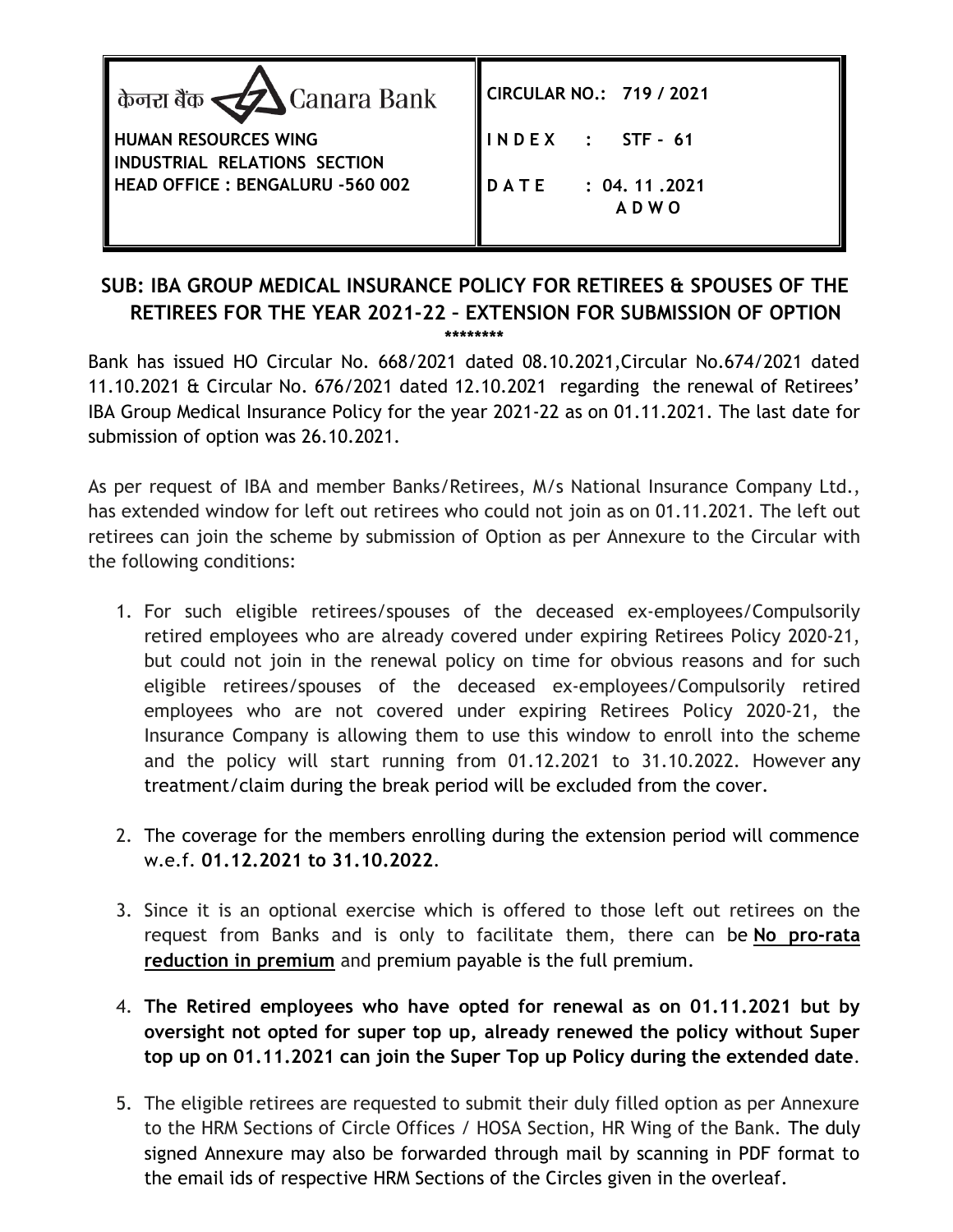| केनरा बैंक <u>र्द्रद्रो</u> Canara Bank                     | CIRCULAR NO.: 719 / 2021         |
|-------------------------------------------------------------|----------------------------------|
| <b>HUMAN RESOURCES WING</b><br>INDUSTRIAL RELATIONS SECTION | INDEX : STF-61                   |
| HEAD OFFICE: BENGALURU -560 002                             | DATE : 04.11.2021<br><b>ADWO</b> |

## **SUB: IBA GROUP MEDICAL INSURANCE POLICY FOR RETIREES & SPOUSES OF THE RETIREES FOR THE YEAR 2021-22 – EXTENSION FOR SUBMISSION OF OPTION \*\*\*\*\*\*\*\***

Bank has issued HO Circular No. 668/2021 dated 08.10.2021,Circular No.674/2021 dated 11.10.2021 & Circular No. 676/2021 dated 12.10.2021 regarding the renewal of Retirees' IBA Group Medical Insurance Policy for the year 2021-22 as on 01.11.2021. The last date for submission of option was 26.10.2021.

As per request of IBA and member Banks/Retirees, M/s National Insurance Company Ltd., has extended window for left out retirees who could not join as on 01.11.2021. The left out retirees can join the scheme by submission of Option as per Annexure to the Circular with the following conditions:

- 1. For such eligible retirees/spouses of the deceased ex-employees/Compulsorily retired employees who are already covered under expiring Retirees Policy 2020-21, but could not join in the renewal policy on time for obvious reasons and for such eligible retirees/spouses of the deceased ex-employees/Compulsorily retired employees who are not covered under expiring Retirees Policy 2020-21, the Insurance Company is allowing them to use this window to enroll into the scheme and the policy will start running from 01.12.2021 to 31.10.2022. However any treatment/claim during the break period will be excluded from the cover.
- 2. The coverage for the members enrolling during the extension period will commence w.e.f. **01.12.2021 to 31.10.2022**.
- 3. Since it is an optional exercise which is offered to those left out retirees on the request from Banks and is only to facilitate them, there can be **No pro-rata reduction in premium** and premium payable is the full premium.
- 4. **The Retired employees who have opted for renewal as on 01.11.2021 but by oversight not opted for super top up, already renewed the policy without Super top up on 01.11.2021 can join the Super Top up Policy during the extended date**.
- 5. The eligible retirees are requested to submit their duly filled option as per Annexure to the HRM Sections of Circle Offices / HOSA Section, HR Wing of the Bank. The duly signed Annexure may also be forwarded through mail by scanning in PDF format to the email ids of respective HRM Sections of the Circles given in the overleaf.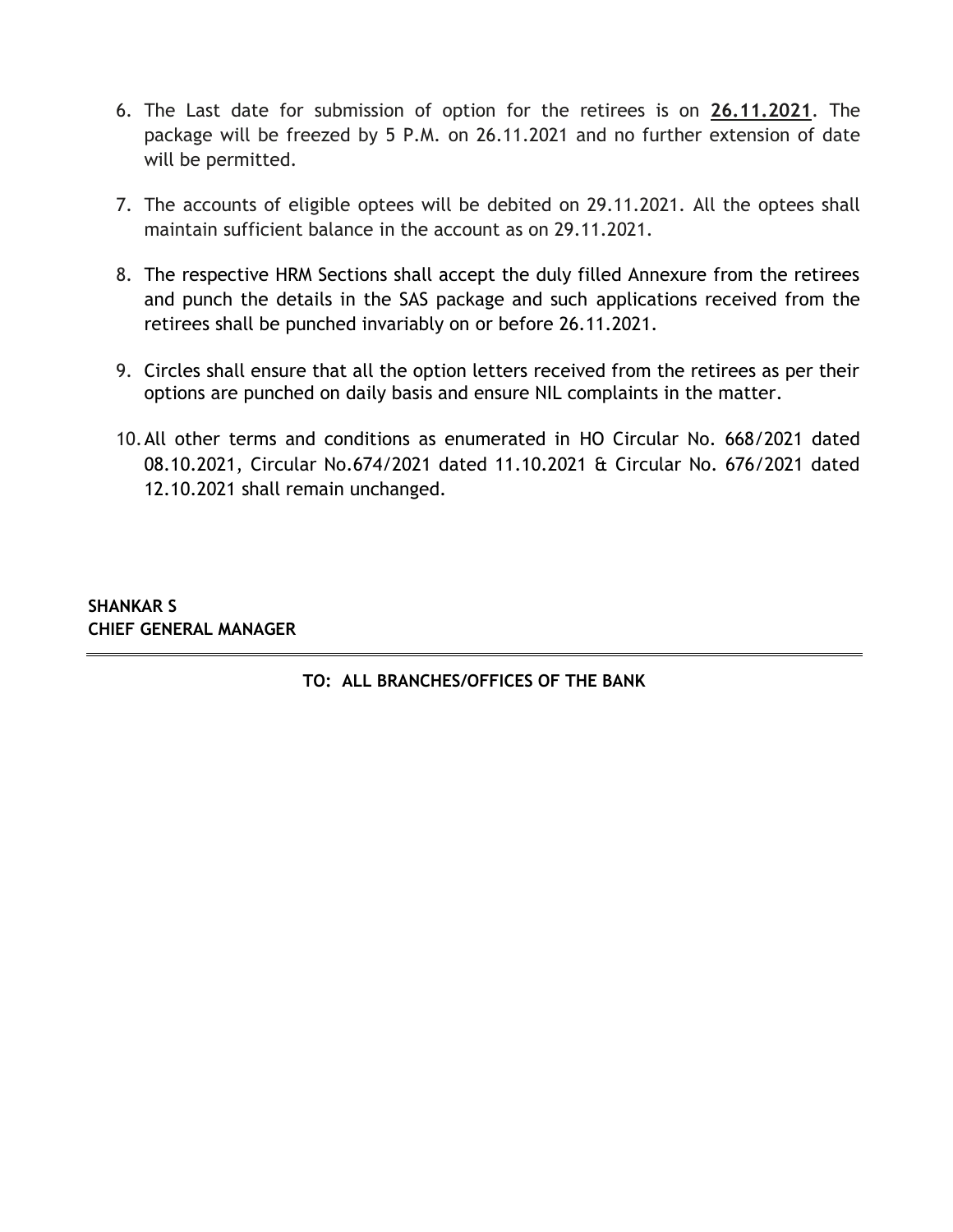- 6. The Last date for submission of option for the retirees is on **26.11.2021**. The package will be freezed by 5 P.M. on 26.11.2021 and no further extension of date will be permitted.
- 7. The accounts of eligible optees will be debited on 29.11.2021. All the optees shall maintain sufficient balance in the account as on 29.11.2021.
- 8. The respective HRM Sections shall accept the duly filled Annexure from the retirees and punch the details in the SAS package and such applications received from the retirees shall be punched invariably on or before 26.11.2021.
- 9. Circles shall ensure that all the option letters received from the retirees as per their options are punched on daily basis and ensure NIL complaints in the matter.
- 10.All other terms and conditions as enumerated in HO Circular No. 668/2021 dated 08.10.2021, Circular No.674/2021 dated 11.10.2021 & Circular No. 676/2021 dated 12.10.2021 shall remain unchanged.

**SHANKAR S CHIEF GENERAL MANAGER**

**TO: ALL BRANCHES/OFFICES OF THE BANK**